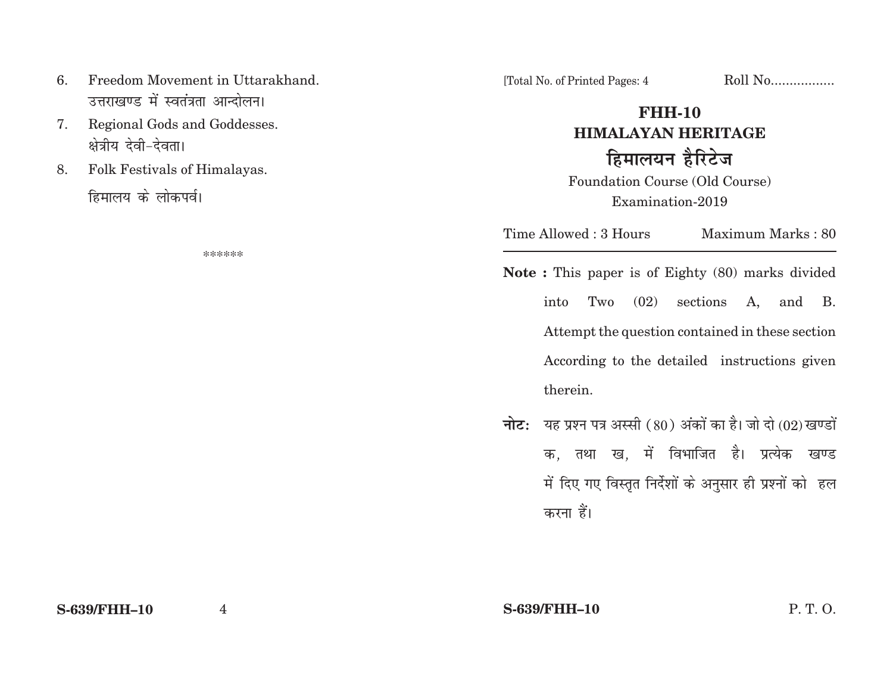- 6. Freedom Movement in Uttarakhand.उत्तराखण्ड में स्वतंत्रता आन्दोलन।
- 7. Regional Gods and Goddesses. क्षेत्रीय देवी-देवता।
- 8. Folk Festivals of Himalayas.

हिमालय के लोकपर्व।

\*\*\*\*\*\*

[Total No. of Printed Pages: 4 Roll No.................

## **FHH-10HIMALAYAN HERITAGE***हिमालयन हैरिटेज*

Foundation Course (Old Course) Examination-2019

Time Allowed : 3 Hours Maximum Marks : 80

**Note :** This paper is of Eighty (80) marks divided into Two (02) sections A, and B. Attempt the question contained in these section According to the detailed instructions given therein.

**नोट:** यह प्रश्न पत्र अस्सी (80) अंकों का है। जो दो (02) खण्डों क. तथा ख. में विभाजित है। प्रत्येक खण्ड में दिए गए विस्तृत निर्देशों के अनुसार ही प्रश्नों को हल करना हैं।

**S-639/FHH–10**